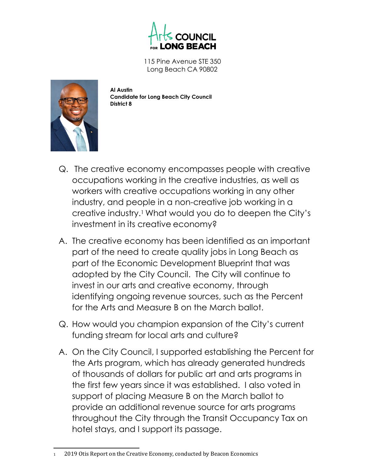

115 Pine Avenue STE 350 Long Beach CA 90802



**Al Austin Candidate for Long Beach City Council District 8**

- Q. The creative economy encompasses people with creative occupations working in the creative industries, as well as workers with creative occupations working in any other industry, and people in a non-creative job working in a creative industry.1 What would you do to deepen the City's investment in its creative economy?
- A. The creative economy has been identified as an important part of the need to create quality jobs in Long Beach as part of the Economic Development Blueprint that was adopted by the City Council. The City will continue to invest in our arts and creative economy, through identifying ongoing revenue sources, such as the Percent for the Arts and Measure B on the March ballot.
- Q. How would you champion expansion of the City's current funding stream for local arts and culture?
- A. On the City Council, I supported establishing the Percent for the Arts program, which has already generated hundreds of thousands of dollars for public art and arts programs in the first few years since it was established. I also voted in support of placing Measure B on the March ballot to provide an additional revenue source for arts programs throughout the City through the Transit Occupancy Tax on hotel stays, and I support its passage.

<sup>2019</sup> Otis Report on the Creative Economy, conducted by Beacon Economics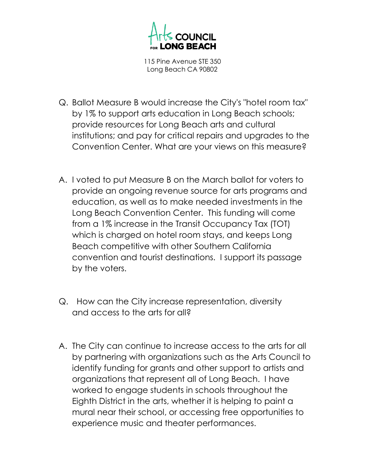

115 Pine Avenue STE 350 Long Beach CA 90802

- Q. Ballot Measure B would increase the City's "hotel room tax" by 1% to support arts education in Long Beach schools; provide resources for Long Beach arts and cultural institutions; and pay for critical repairs and upgrades to the Convention Center. What are your views on this measure?
- A. I voted to put Measure B on the March ballot for voters to provide an ongoing revenue source for arts programs and education, as well as to make needed investments in the Long Beach Convention Center. This funding will come from a 1% increase in the Transit Occupancy Tax (TOT) which is charged on hotel room stays, and keeps Long Beach competitive with other Southern California convention and tourist destinations. I support its passage by the voters.
- Q. How can the City increase representation, diversity and access to the arts for all?
- A. The City can continue to increase access to the arts for all by partnering with organizations such as the Arts Council to identify funding for grants and other support to artists and organizations that represent all of Long Beach. I have worked to engage students in schools throughout the Eighth District in the arts, whether it is helping to paint a mural near their school, or accessing free opportunities to experience music and theater performances.